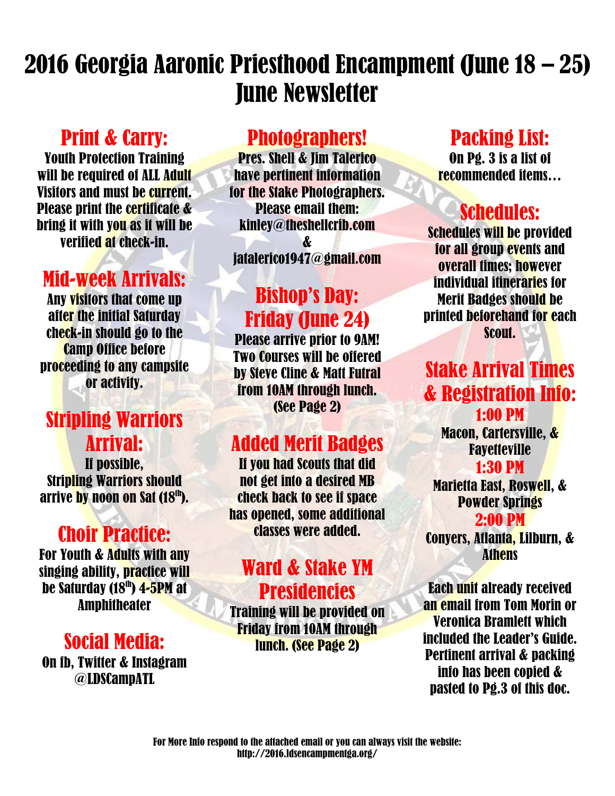# 2016 Georgia Aaronic Priesthood Encampment (June 18 – 25) June Newsletter

## Print & Carry:

Youth Protection Training will be required of ALL Adult Visitors and must be current. Please print the certificate & bring it with you as it will be verified at check-in.

## Mid-week Arrivals:

Any visitors that come up after the initial Saturday check-in should go to the Camp Office before proceeding to any campsite or activity.

## Stripling Warriors Arrival:

If possible, Stripling Warriors should arrive by noon on Sat (18th).

## Choir Practice:

For Youth & Adults with any singing ability, practice will be Saturday (18<sup>th</sup>) 4-5PM at Amphitheater

### Social Media:

On fb, Twitter & Instagram @LDSCampATL

### Photographers!

Pres. Shell & Jim Talerico have pertinent information for the Stake Photographers. Please email them: kinley@theshellcrib.com & jatalerico1947@gmail.com

## Bishop's Day: Friday (June 24)

Please arrive prior to 9AM! Two Courses will be offered by Steve Cline & Matt Futral from 10AM through lunch. (See Page 2)

## Added Merit Badges

If you had Scouts that did not get into a desired MB check back to see if space has opened, some additional classes were added.

### Ward & Stake YM Presidencies

Training will be provided on Friday from 10AM through lunch. (See Page 2)

### Packing List:

On Pg. 3 is a list of recommended items…

## Schedules:

Schedules will be provided for all group events and overall times; however individual itineraries for Merit Badges should be printed beforehand for each Scout.

### Stake Arrival Times & Registration Info: 1:00 PM

Macon, Cartersville, & **Favetteville** 

#### 1:30 PM

Marietta East, Roswell, & Powder Springs

2:00 PM

Conyers, Atlanta, Lilburn, & Athens

Each unit already received an email from Tom Morin or Veronica Bramlett which included the Leader's Guide. Pertinent arrival & packing info has been copied & pasted to Pg.3 of this doc.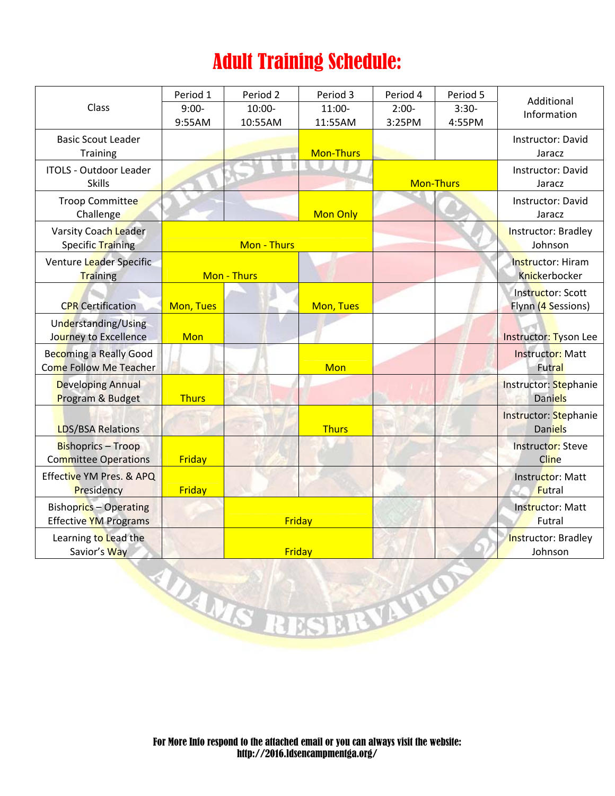## Adult Training Schedule:

| Class                                                         | Period 1          | Period <sub>2</sub>  | Period 3            | Period 4          | Period 5          | Additional<br>Information                 |
|---------------------------------------------------------------|-------------------|----------------------|---------------------|-------------------|-------------------|-------------------------------------------|
|                                                               | $9:00-$<br>9:55AM | $10:00 -$<br>10:55AM | $11:00-$<br>11:55AM | $2:00-$<br>3:25PM | $3:30-$<br>4:55PM |                                           |
| <b>Basic Scout Leader</b><br><b>Training</b>                  |                   |                      | <b>Mon-Thurs</b>    |                   |                   | Instructor: David<br>Jaracz               |
| <b>ITOLS - Outdoor Leader</b><br><b>Skills</b>                |                   |                      |                     |                   | <b>Mon-Thurs</b>  | Instructor: David<br>Jaracz               |
| <b>Troop Committee</b><br>Challenge                           |                   |                      | <b>Mon Only</b>     |                   |                   | Instructor: David<br>Jaracz               |
| Varsity Coach Leader<br>Specific Training                     | Mon - Thurs       |                      |                     |                   |                   | Instructor: Bradley<br>Johnson            |
| Venture Leader Specific<br><b>Training</b>                    | Mon - Thurs       |                      |                     |                   |                   | Instructor: Hiram<br><b>Knickerbocker</b> |
| <b>CPR</b> Certification                                      | Mon, Tues         |                      | Mon, Tues           |                   |                   | Instructor: Scott<br>Flynn (4 Sessions)   |
| Understanding/Using<br>Journey to Excellence                  | Mon               |                      |                     |                   |                   | Instructor: Tyson Lee                     |
| <b>Becoming a Really Good</b><br>Come Follow Me Teacher       |                   |                      | Mon                 |                   |                   | <b>Instructor: Matt</b><br><b>Futral</b>  |
| <b>Developing Annual</b><br>Program & Budget                  | <b>Thurs</b>      |                      |                     |                   |                   | Instructor: Stephanie<br><b>Daniels</b>   |
| <b>LDS/BSA Relations</b>                                      |                   |                      | <b>Thurs</b>        |                   |                   | Instructor: Stephanie<br><b>Daniels</b>   |
| <b>Bishoprics - Troop</b><br><b>Committee Operations</b>      | Friday            |                      |                     |                   |                   | <b>Instructor: Steve</b><br>Cline         |
| Effective YM Pres. & APQ<br>Presidency                        | Friday            |                      |                     |                   |                   | Instructor: Matt<br><b>Futral</b>         |
| <b>Bishoprics - Operating</b><br><b>Effective YM Programs</b> |                   | Friday               |                     |                   |                   | <b>Instructor: Matt</b><br>Futral         |
| Learning to Lead the<br>Savior's Way                          |                   | Friday               |                     |                   |                   | Instructor: Bradley<br>Johnson            |
|                                                               |                   | WANST                | USERVATIO           |                   |                   |                                           |